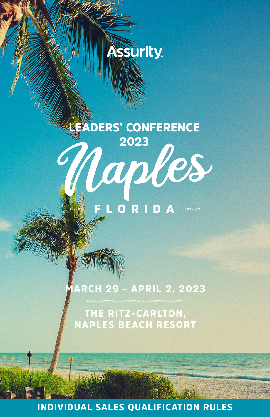

## **Assurity**

# **EADERS' CONFERENCE** 2023 Naples FLORI

### MARCH 29 - APRIL 2, 2023

THE RITZ-CARLTON, NAPLES BEACH RESORT

INDIVIDUAL SALES QUALIFICATION RULES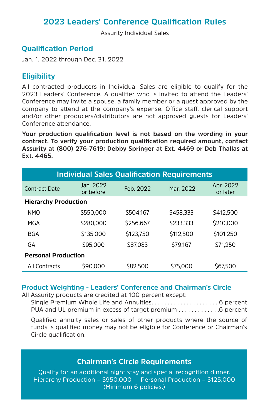#### **2023 Leaders' Conference Qualification Rules**

Assurity Individual Sales

#### **Qualification Period**

Jan. 1, 2022 through Dec. 31, 2022

#### **Eligibility**

All contracted producers in Individual Sales are eligible to qualify for the 2023 Leaders' Conference. A qualifier who is invited to attend the Leaders' Conference may invite a spouse, a family member or a guest approved by the company to attend at the company's expense. Office staff, clerical support and/or other producers/distributors are not approved guests for Leaders' Conference attendance.

**Your production qualification level is not based on the wording in your contract. To verify your production qualification required amount, contact Assurity at (800) 276-7619: Debby Springer at Ext. 4469 or Deb Thallas at Ext. 4465.**

| <b>Individual Sales Qualification Requirements</b> |                        |           |           |                       |
|----------------------------------------------------|------------------------|-----------|-----------|-----------------------|
| Contract Date                                      | Jan. 2022<br>or before | Feb. 2022 | Mar. 2022 | Apr. 2022<br>or later |
| <b>Hierarchy Production</b>                        |                        |           |           |                       |
| <b>NMO</b>                                         | \$550,000              | \$504.167 | \$458,333 | \$412,500             |
| MGA                                                | \$280,000              | \$256,667 | \$233.333 | \$210,000             |
| BGA                                                | \$135,000              | \$123.750 | \$112,500 | \$101.250             |
| GА                                                 | \$95,000               | \$87,083  | \$79.167  | \$71.250              |
| <b>Personal Production</b>                         |                        |           |           |                       |
| All Contracts                                      | \$90,000               | \$82,500  | \$75,000  | \$67,500              |

#### **Product Weighting - Leaders' Conference and Chairman's Circle**

All Assurity products are credited at 100 percent except:

Single Premium Whole Life and Annuities. . . . . . . . . . . . . . . . . . . . . 6 percent PUA and UL premium in excess of target premium . . . . . . . . . . . . .6 percent

Qualified annuity sales or sales of other products where the source of funds is qualified money may not be eligible for Conference or Chairman's Circle qualification.

#### **Chairman's Circle Requirements**

Qualify for an additional night stay and special recognition dinner. Hierarchy Production = \$950,000 Personal Production = \$125,000 (Minimum 6 policies.)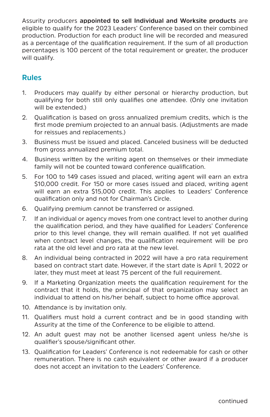Assurity producers **appointed to sell Individual and Worksite products** are eligible to qualify for the 2023 Leaders' Conference based on their combined production. Production for each product line will be recorded and measured as a percentage of the qualification requirement. If the sum of all production percentages is 100 percent of the total requirement or greater, the producer will qualify.

#### **Rules**

- 1. Producers may qualify by either personal or hierarchy production, but qualifying for both still only qualifies one attendee. (Only one invitation will be extended.)
- 2. Qualification is based on gross annualized premium credits, which is the first mode premium projected to an annual basis. (Adjustments are made for reissues and replacements.)
- 3. Business must be issued and placed. Canceled business will be deducted from gross annualized premium total.
- 4. Business written by the writing agent on themselves or their immediate family will not be counted toward conference qualification.
- 5. For 100 to 149 cases issued and placed, writing agent will earn an extra \$10,000 credit. For 150 or more cases issued and placed, writing agent will earn an extra \$15,000 credit. This applies to Leaders' Conference qualification only and not for Chairman's Circle.
- 6. Qualifying premium cannot be transferred or assigned.
- 7. If an individual or agency moves from one contract level to another during the qualification period, and they have qualified for Leaders' Conference prior to this level change, they will remain qualified. If not yet qualified when contract level changes, the qualification requirement will be pro rata at the old level and pro rata at the new level.
- 8. An individual being contracted in 2022 will have a pro rata requirement based on contract start date. However, if the start date is April 1, 2022 or later, they must meet at least 75 percent of the full requirement.
- 9. If a Marketing Organization meets the qualification requirement for the contract that it holds, the principal of that organization may select an individual to attend on his/her behalf, subject to home office approval.
- 10. Attendance is by invitation only.
- 11. Qualifiers must hold a current contract and be in good standing with Assurity at the time of the Conference to be eligible to attend.
- 12. An adult guest may not be another licensed agent unless he/she is qualifier's spouse/significant other.
- 13. Qualification for Leaders' Conference is not redeemable for cash or other remuneration. There is no cash equivalent or other award if a producer does not accept an invitation to the Leaders' Conference.